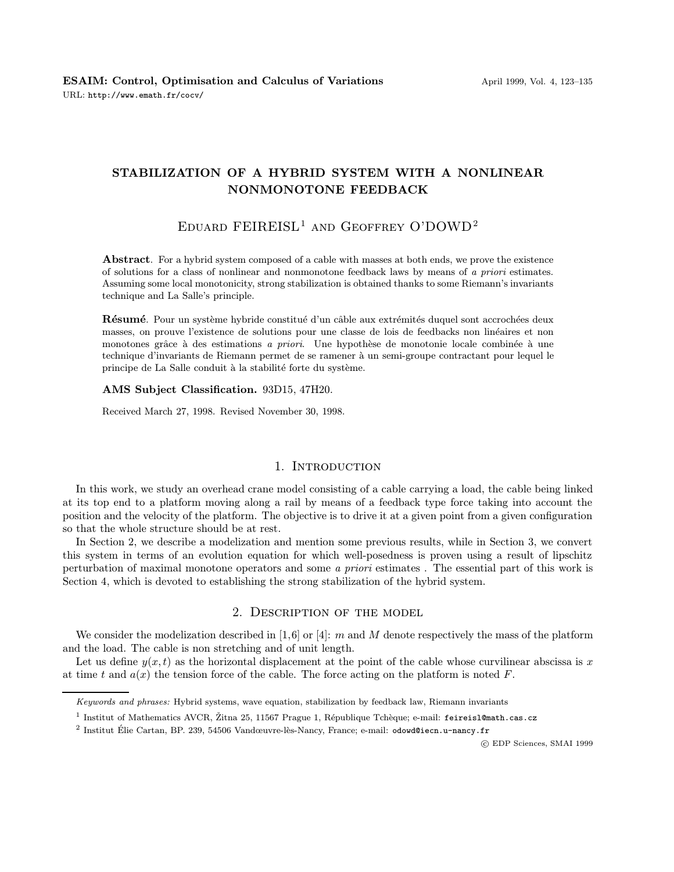# STABILIZATION OF A HYBRID SYSTEM WITH A NONLINEAR NONMONOTONE FEEDBACK

# EDUARD FEIREISL<sup>1</sup> AND GEOFFREY O'DOWD<sup>2</sup>

Abstract. For a hybrid system composed of a cable with masses at both ends, we prove the existence of solutions for a class of nonlinear and nonmonotone feedback laws by means of a priori estimates. Assuming some local monotonicity, strong stabilization is obtained thanks to some Riemann's invariants technique and La Salle's principle.

Résumé. Pour un système hybride constitué d'un câble aux extrémités duquel sont accrochées deux masses, on prouve l'existence de solutions pour une classe de lois de feedbacks non linéaires et non monotones grâce à des estimations a priori. Une hypothèse de monotonie locale combinée à une technique d'invariants de Riemann permet de se ramener à un semi-groupe contractant pour lequel le principe de La Salle conduit à la stabilité forte du système.

#### AMS Subject Classification. 93D15, 47H20.

Received March 27, 1998. Revised November 30, 1998.

### 1. INTRODUCTION

In this work, we study an overhead crane model consisting of a cable carrying a load, the cable being linked at its top end to a platform moving along a rail by means of a feedback type force taking into account the position and the velocity of the platform. The objective is to drive it at a given point from a given configuration so that the whole structure should be at rest.

In Section 2, we describe a modelization and mention some previous results, while in Section 3, we convert this system in terms of an evolution equation for which well-posedness is proven using a result of lipschitz perturbation of maximal monotone operators and some a priori estimates . The essential part of this work is Section 4, which is devoted to establishing the strong stabilization of the hybrid system.

## 2. Description of the model

We consider the modelization described in [1,6] or [4]: m and M denote respectively the mass of the platform and the load. The cable is non stretching and of unit length.

Let us define  $y(x, t)$  as the horizontal displacement at the point of the cable whose curvilinear abscissa is x at time t and  $a(x)$  the tension force of the cable. The force acting on the platform is noted F.

c EDP Sciences, SMAI 1999

Keywords and phrases: Hybrid systems, wave equation, stabilization by feedback law, Riemann invariants

<sup>&</sup>lt;sup>1</sup> Institut of Mathematics AVCR, Žitna 25, 11567 Prague 1, République Tchèque; e-mail: feireisl@math.cas.cz

<sup>&</sup>lt;sup>2</sup> Institut Élie Cartan, BP. 239, 54506 Vandœuvre-lès-Nancy, France; e-mail: odowd@iecn.u-nancy.fr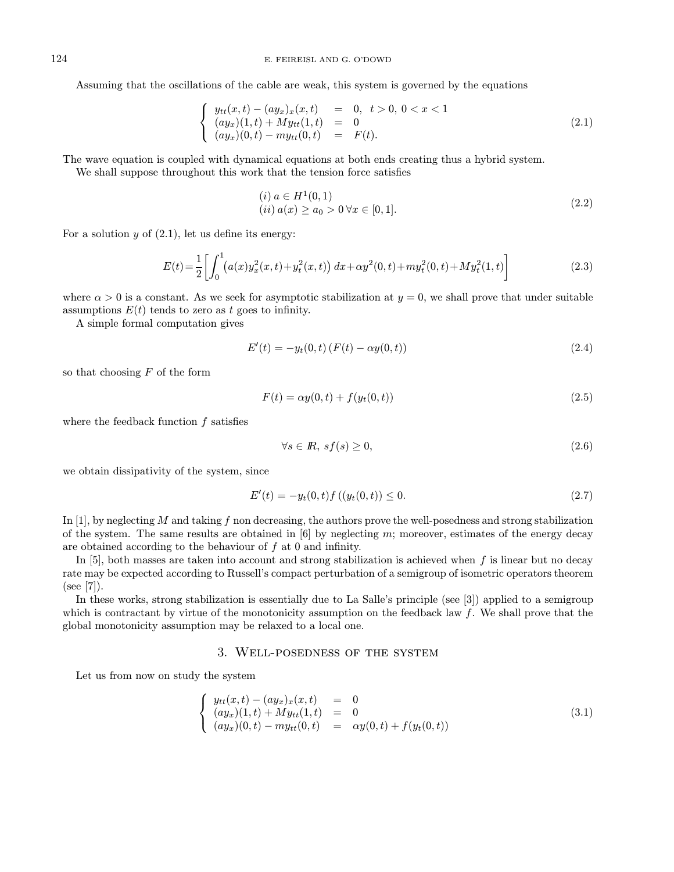Assuming that the oscillations of the cable are weak, this system is governed by the equations

$$
\begin{cases}\n y_{tt}(x,t) - (ay_x)_x(x,t) = 0, \ t > 0, \ 0 < x < 1 \\
 (ay_x)(1,t) + My_{tt}(1,t) = 0 \\
 (ay_x)(0,t) - my_{tt}(0,t) = F(t).\n\end{cases}
$$
\n(2.1)

The wave equation is coupled with dynamical equations at both ends creating thus a hybrid system.

We shall suppose throughout this work that the tension force satisfies

$$
(i) \ a \in H^1(0,1)
$$
  
\n
$$
(ii) \ a(x) \ge a_0 > 0 \ \forall x \in [0,1].
$$
\n
$$
(2.2)
$$

For a solution  $y$  of  $(2.1)$ , let us define its energy:

$$
E(t) = \frac{1}{2} \left[ \int_0^1 (a(x)y_x^2(x,t) + y_t^2(x,t)) dx + \alpha y^2(0,t) + m y_t^2(0,t) + M y_t^2(1,t) \right]
$$
(2.3)

where  $\alpha > 0$  is a constant. As we seek for asymptotic stabilization at  $y = 0$ , we shall prove that under suitable assumptions  $E(t)$  tends to zero as t goes to infinity.

A simple formal computation gives

$$
E'(t) = -y_t(0, t) (F(t) - \alpha y(0, t))
$$
\n(2.4)

so that choosing  $F$  of the form

$$
F(t) = \alpha y(0, t) + f(y_t(0, t))
$$
\n(2.5)

where the feedback function  $f$  satisfies

$$
\forall s \in \mathbb{R}, \ s f(s) \ge 0,\tag{2.6}
$$

we obtain dissipativity of the system, since

$$
E'(t) = -y_t(0, t)f((y_t(0, t)) \le 0.
$$
\n(2.7)

In [1], by neglecting  $M$  and taking  $f$  non decreasing, the authors prove the well-posedness and strong stabilization of the system. The same results are obtained in  $[6]$  by neglecting m; moreover, estimates of the energy decay are obtained according to the behaviour of  $f$  at  $0$  and infinity.

In  $[5]$ , both masses are taken into account and strong stabilization is achieved when f is linear but no decay rate may be expected according to Russell's compact perturbation of a semigroup of isometric operators theorem (see [7]).

In these works, strong stabilization is essentially due to La Salle's principle (see [3]) applied to a semigroup which is contractant by virtue of the monotonicity assumption on the feedback law  $f$ . We shall prove that the global monotonicity assumption may be relaxed to a local one.

## 3. Well-posedness of the system

Let us from now on study the system

$$
\begin{cases}\ny_{tt}(x,t) - (ay_x)_x(x,t) = 0 \\
(ay_x)(1,t) + My_{tt}(1,t) = 0 \\
(ay_x)(0,t) - my_{tt}(0,t) = \alpha y(0,t) + f(y_t(0,t))\n\end{cases}
$$
\n(3.1)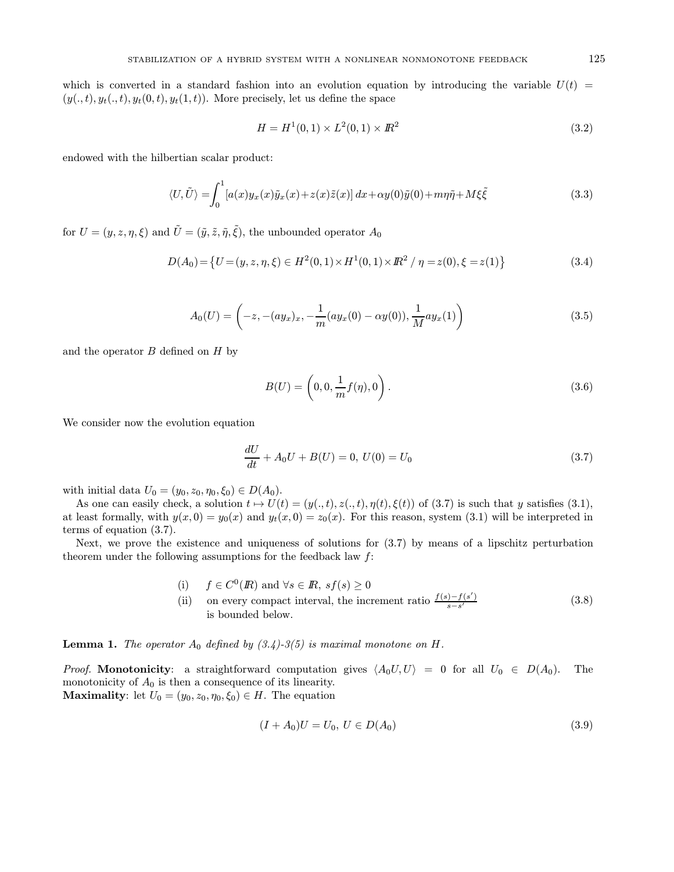which is converted in a standard fashion into an evolution equation by introducing the variable  $U(t)$  =  $(y(., t), y_t(., t), y_t(0, t), y_t(1, t))$ . More precisely, let us define the space

$$
H = H^{1}(0,1) \times L^{2}(0,1) \times I\!\!R^{2}
$$
\n(3.2)

endowed with the hilbertian scalar product:

$$
\langle U, \tilde{U} \rangle = \int_0^1 [a(x)y_x(x)\tilde{y}_x(x) + z(x)\tilde{z}(x)] dx + \alpha y(0)\tilde{y}(0) + m\eta\tilde{\eta} + M\xi\tilde{\xi}
$$
\n(3.3)

for  $U = (y, z, \eta, \xi)$  and  $\tilde{U} = (\tilde{y}, \tilde{z}, \tilde{\eta}, \tilde{\xi})$ , the unbounded operator  $A_0$ 

$$
D(A_0) = \{ U = (y, z, \eta, \xi) \in H^2(0, 1) \times H^1(0, 1) \times \mathbb{R}^2 / \eta = z(0), \xi = z(1) \}
$$
(3.4)

$$
A_0(U) = \left(-z, -(ay_x)_x, -\frac{1}{m}(ay_x(0) - \alpha y(0)), \frac{1}{M}ay_x(1)\right)
$$
\n(3.5)

and the operator  $B$  defined on  $H$  by

$$
B(U) = \left(0, 0, \frac{1}{m} f(\eta), 0\right).
$$
 (3.6)

We consider now the evolution equation

$$
\frac{dU}{dt} + A_0 U + B(U) = 0, \ U(0) = U_0 \tag{3.7}
$$

with initial data  $U_0 = (y_0, z_0, \eta_0, \xi_0) \in D(A_0)$ .

As one can easily check, a solution  $t \mapsto U(t)=(y(., t), z(., t), \eta(t), \xi(t))$  of  $(3.7)$  is such that y satisfies  $(3.1)$ , at least formally, with  $y(x, 0) = y_0(x)$  and  $y_t(x, 0) = z_0(x)$ . For this reason, system (3.1) will be interpreted in terms of equation (3.7).

Next, we prove the existence and uniqueness of solutions for (3.7) by means of a lipschitz perturbation theorem under the following assumptions for the feedback law  $f$ :

- (i)  $f \in C^0(\mathbb{R})$  and  $\forall s \in \mathbb{R}, s f(s) \geq 0$
- (ii) on every compact interval, the increment ratio  $\frac{f(s)-f(s')}{s-s'}$ is bounded below. (3.8)

**Lemma 1.** The operator  $A_0$  defined by  $(3.4)$ -3(5) is maximal monotone on H.

*Proof.* Monotonicity: a straightforward computation gives  $\langle A_0U, U \rangle = 0$  for all  $U_0 \in D(A_0)$ . The monotonicity of  $A_0$  is then a consequence of its linearity. **Maximality:** let  $U_0 = (y_0, z_0, \eta_0, \xi_0) \in H$ . The equation

$$
(I + A_0)U = U_0, \ U \in D(A_0) \tag{3.9}
$$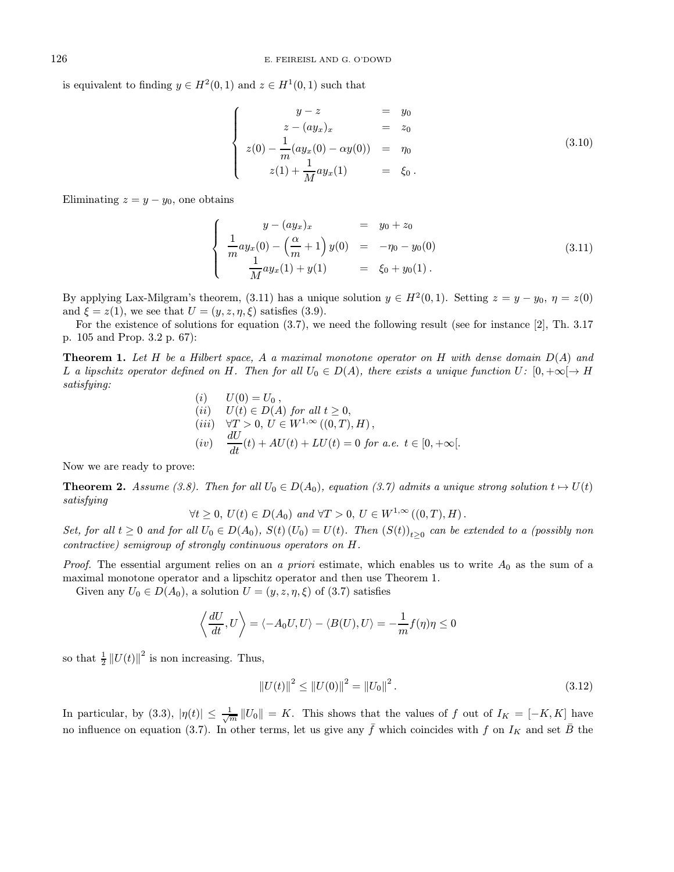is equivalent to finding  $y \in H^2(0,1)$  and  $z \in H^1(0,1)$  such that

$$
\begin{cases}\n y - z &= y_0 \\
 z - (ay_x)_x &= z_0 \\
 z(0) - \frac{1}{m}(ay_x(0) - \alpha y(0)) &= \eta_0 \\
 z(1) + \frac{1}{M}ay_x(1) &= \xi_0.\n\end{cases}
$$
\n(3.10)

Eliminating  $z = y - y_0$ , one obtains

$$
\begin{cases}\n y - (ay_x)_x &= y_0 + z_0 \\
 \frac{1}{m}ay_x(0) - \left(\frac{\alpha}{m} + 1\right)y(0) &= -\eta_0 - y_0(0) \\
 \frac{1}{M}ay_x(1) + y(1) &= \xi_0 + y_0(1).\n\end{cases}
$$
\n(3.11)

By applying Lax-Milgram's theorem, (3.11) has a unique solution  $y \in H^2(0,1)$ . Setting  $z = y - y_0$ ,  $\eta = z(0)$ and  $\xi = z(1)$ , we see that  $U = (y, z, \eta, \xi)$  satisfies (3.9).

For the existence of solutions for equation (3.7), we need the following result (see for instance [2], Th. 3.17 p. 105 and Prop. 3.2 p. 67):

**Theorem 1.** Let H be a Hilbert space, A a maximal monotone operator on H with dense domain  $D(A)$  and L a lipschitz operator defined on H. Then for all  $U_0 \in D(A)$ , there exists a unique function  $U: [0, +\infty[ \to H]$ satisfying:

(i) 
$$
U(0) = U_0
$$
,  
\n(ii)  $U(t) \in D(A)$  for all  $t \ge 0$ ,  
\n(iii)  $\forall T > 0$ ,  $U \in W^{1,\infty}((0,T),H)$ ,  
\n(iv)  $\frac{dU}{dt}(t) + AU(t) + LU(t) = 0$  for a.e.  $t \in [0, +\infty]$ .

Now we are ready to prove:

**Theorem 2.** Assume (3.8). Then for all  $U_0 \in D(A_0)$ , equation (3.7) admits a unique strong solution  $t \mapsto U(t)$ satisfying

$$
\forall t \geq 0, U(t) \in D(A_0) \text{ and } \forall T > 0, U \in W^{1,\infty}((0,T),H).
$$

Set, for all  $t \geq 0$  and for all  $U_0 \in D(A_0)$ ,  $S(t)(U_0) = U(t)$ . Then  $(S(t))_{t>0}$  can be extended to a (possibly non contractive) semigroup of strongly continuous operators on H.

*Proof.* The essential argument relies on an a priori estimate, which enables us to write  $A_0$  as the sum of a maximal monotone operator and a lipschitz operator and then use Theorem 1.

Given any  $U_0 \in D(A_0)$ , a solution  $U = (y, z, \eta, \xi)$  of  $(3.7)$  satisfies

$$
\left\langle \frac{dU}{dt}, U \right\rangle = \left\langle -A_0 U, U \right\rangle - \left\langle B(U), U \right\rangle = -\frac{1}{m} f(\eta) \eta \le 0
$$

so that  $\frac{1}{2} ||U(t)||^2$  is non increasing. Thus,

$$
||U(t)||^2 \le ||U(0)||^2 = ||U_0||^2.
$$
\n(3.12)

In particular, by (3.3),  $|\eta(t)| \leq \frac{1}{\sqrt{m}} ||U_0|| = K$ . This shows that the values of f out of  $I_K = [-K, K]$  have no influence on equation (3.7). In other terms, let us give any  $\bar{f}$  which coincides with f on  $I_K$  and set  $\bar{B}$  the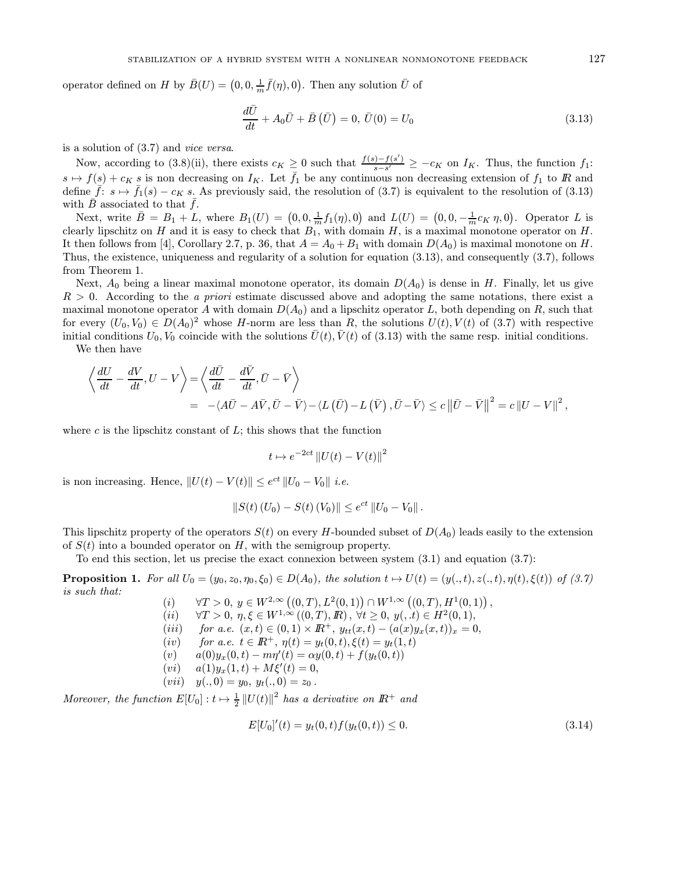operator defined on H by  $\bar{B}(U) = (0, 0, \frac{1}{m}\bar{f}(\eta), 0)$ . Then any solution  $\bar{U}$  of

$$
\frac{d\bar{U}}{dt} + A_0 \bar{U} + \bar{B}(\bar{U}) = 0, \ \bar{U}(0) = U_0 \tag{3.13}
$$

is a solution of (3.7) and vice versa.

Now, according to (3.8)(ii), there exists  $c_K \geq 0$  such that  $\frac{f(s)-f(s')}{s-s'} \geq -c_K$  on  $I_K$ . Thus, the function  $f_1$ :  $s \mapsto f(s) + c_K s$  is non decreasing on  $I_K$ . Let  $\bar{f}_1$  be any continuous non decreasing extension of  $f_1$  to  $\bar{F}_1$  and define  $\bar{f}: s \mapsto \bar{f}_1(s) - c_K s$ . As previously said, the resolution of  $(3.7)$  is equivalent to the resolution of  $(3.13)$ with  $\bar{B}$  associated to that  $\bar{f}$ .

Next, write  $\bar{B} = B_1 + L$ , where  $B_1(U) = (0, 0, \frac{1}{m}f_1(\eta), 0)$  and  $L(U) = (0, 0, -\frac{1}{m}c_K \eta, 0)$ . Operator L is clearly lipschitz on H and it is easy to check that  $B_1$ , with domain H, is a maximal monotone operator on H. It then follows from [4], Corollary 2.7, p. 36, that  $A = A_0 + B_1$  with domain  $D(A_0)$  is maximal monotone on H. Thus, the existence, uniqueness and regularity of a solution for equation (3.13), and consequently (3.7), follows from Theorem 1.

Next,  $A_0$  being a linear maximal monotone operator, its domain  $D(A_0)$  is dense in H. Finally, let us give  $R > 0$ . According to the *a priori* estimate discussed above and adopting the same notations, there exist a maximal monotone operator A with domain  $D(A_0)$  and a lipschitz operator L, both depending on R, such that for every  $(U_0, V_0) \in D(A_0)^2$  whose H-norm are less than R, the solutions  $U(t)$ ,  $V(t)$  of (3.7) with respective initial conditions  $U_0$ ,  $V_0$  coincide with the solutions  $\overline{U}(t)$ ,  $\overline{V}(t)$  of (3.13) with the same resp. initial conditions.

We then have

$$
\left\langle \frac{dU}{dt} - \frac{dV}{dt}, U - V \right\rangle = \left\langle \frac{d\bar{U}}{dt} - \frac{d\bar{V}}{dt}, \bar{U} - \bar{V} \right\rangle
$$
  
= -\left\langle A\bar{U} - A\bar{V}, \bar{U} - \bar{V} \right\rangle - \left\langle L(\bar{U}) - L(\bar{V}), \bar{U} - \bar{V} \right\rangle \le c \left\| \bar{U} - \bar{V} \right\|^2 = c \left\| U - V \right\|^2,

where  $c$  is the lipschitz constant of  $L$ ; this shows that the function

$$
t \mapsto e^{-2ct} \left\| U(t) - V(t) \right\|^2
$$

is non increasing. Hence,  $||U(t) - V(t)|| \leq e^{ct} ||U_0 - V_0||$  *i.e.* 

$$
||S(t) (U_0) - S(t) (V_0)|| \leq e^{ct} ||U_0 - V_0||.
$$

This lipschitz property of the operators  $S(t)$  on every H-bounded subset of  $D(A_0)$  leads easily to the extension of  $S(t)$  into a bounded operator on H, with the semigroup property.

To end this section, let us precise the exact connexion between system (3.1) and equation (3.7):

**Proposition 1.** For all  $U_0 = (y_0, z_0, \eta_0, \xi_0) \in D(A_0)$ , the solution  $t \mapsto U(t) = (y(., t), z(., t), \eta(t), \xi(t))$  of (3.7) is such that:

- (i)  $\forall T > 0, y \in W^{2,\infty}((0,T), L^2(0,1)) \cap W^{1,\infty}((0,T), H^1(0,1)),$
- (ii)  $\forall T > 0, \eta, \xi \in W^{1,\infty}((0,T),\mathbb{R}), \forall t \geq 0, y(0,t) \in H^2(0,1),$
- (iii) for a.e.  $(x,t) \in (0,1) \times \mathbb{R}^+$ ,  $y_{tt}(x,t) (a(x)y_x(x,t))_x = 0$ ,
- (iv) for a.e.  $t \in \mathbb{R}^+$ ,  $\eta(t) = y_t(0, t)$ ,  $\xi(t) = y_t(1, t)$
- (v)  $a(0)y_x(0,t) m\eta'(t) = \alpha y(0,t) + f(y_t(0,t))$
- $(vi)$   $a(1)y_x(1,t) + M\xi'(t) = 0,$
- $(vii)$   $y(., 0) = y_0, y_t(., 0) = z_0$ .

Moreover, the function  $E[U_0]: t \mapsto \frac{1}{2} ||U(t)||^2$  has a derivative on  $I\!\!R^+$  and

$$
E[U_0]'(t) = y_t(0, t)f(y_t(0, t)) \le 0.
$$
\n(3.14)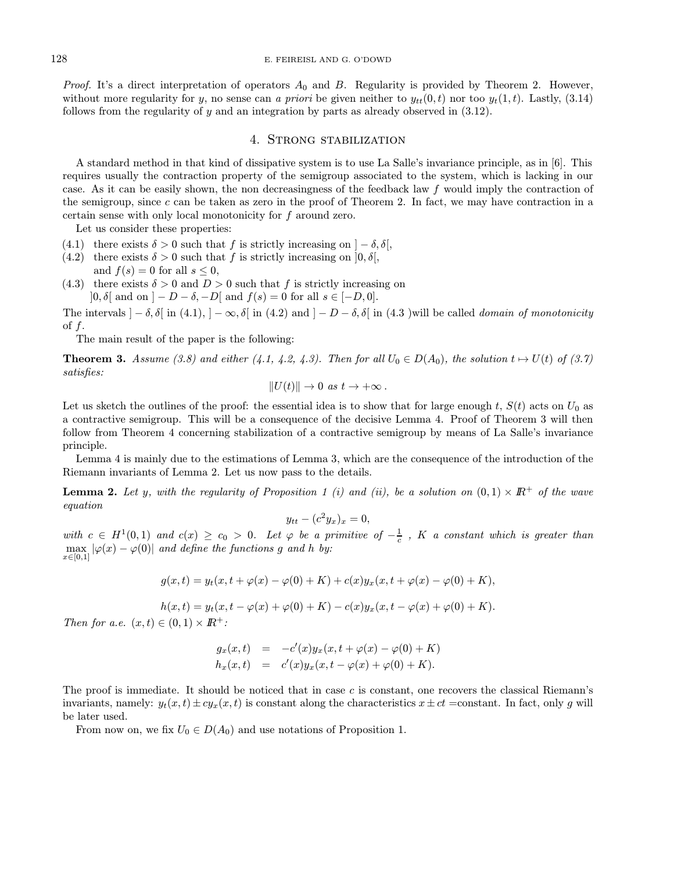*Proof.* It's a direct interpretation of operators  $A_0$  and  $B$ . Regularity is provided by Theorem 2. However, without more regularity for y, no sense can a priori be given neither to  $y_{tt}(0, t)$  nor too  $y_t(1, t)$ . Lastly, (3.14) follows from the regularity of  $y$  and an integration by parts as already observed in  $(3.12)$ .

### 4. Strong stabilization

A standard method in that kind of dissipative system is to use La Salle's invariance principle, as in [6]. This requires usually the contraction property of the semigroup associated to the system, which is lacking in our case. As it can be easily shown, the non decreasingness of the feedback law f would imply the contraction of the semigroup, since c can be taken as zero in the proof of Theorem 2. In fact, we may have contraction in a certain sense with only local monotonicity for f around zero.

Let us consider these properties:

- (4.1) there exists  $\delta > 0$  such that f is strictly increasing on  $]-\delta, \delta[$ ,
- (4.2) there exists  $\delta > 0$  such that f is strictly increasing on  $[0, \delta],$ and  $f(s) = 0$  for all  $s \leq 0$ ,
- (4.3) there exists  $\delta > 0$  and  $D > 0$  such that f is strictly increasing on  $]0, \delta[$  and on  $]-D-\delta, -D[$  and  $f(s)=0$  for all  $s \in [-D, 0].$

The intervals  $]-\delta, \delta[$  in (4.1),  $]-\infty, \delta[$  in (4.2) and  $]-D-\delta, \delta[$  in (4.3 )will be called *domain of monotonicity* of f.

The main result of the paper is the following:

**Theorem 3.** Assume (3.8) and either (4.1, 4.2, 4.3). Then for all  $U_0 \in D(A_0)$ , the solution  $t \mapsto U(t)$  of (3.7) satisfies:

$$
||U(t)|| \to 0 \text{ as } t \to +\infty.
$$

Let us sketch the outlines of the proof: the essential idea is to show that for large enough t,  $S(t)$  acts on  $U_0$  as a contractive semigroup. This will be a consequence of the decisive Lemma 4. Proof of Theorem 3 will then follow from Theorem 4 concerning stabilization of a contractive semigroup by means of La Salle's invariance principle.

Lemma 4 is mainly due to the estimations of Lemma 3, which are the consequence of the introduction of the Riemann invariants of Lemma 2. Let us now pass to the details.

**Lemma 2.** Let y, with the regularity of Proposition 1 (i) and (ii), be a solution on  $(0,1) \times \mathbb{R}^+$  of the wave equation

$$
y_{tt} - (c^2 y_x)_x = 0,
$$

with  $c \in H^1(0,1)$  and  $c(x) \ge c_0 > 0$ . Let  $\varphi$  be a primitive of  $-\frac{1}{c}$ , K a constant which is greater than  $\max_{x\in[0,1]}|\varphi(x)-\varphi(0)|$  and define the functions g and h by:

$$
g(x,t) = y_t(x, t + \varphi(x) - \varphi(0) + K) + c(x)y_x(x, t + \varphi(x) - \varphi(0) + K),
$$

$$
h(x,t) = y_t(x, t - \varphi(x) + \varphi(0) + K) - c(x)y_x(x, t - \varphi(x) + \varphi(0) + K).
$$

Then for a.e.  $(x,t) \in (0,1) \times \mathbb{R}^+$ :

$$
g_x(x,t) = -c'(x)y_x(x, t + \varphi(x) - \varphi(0) + K)
$$
  
\n
$$
h_x(x,t) = c'(x)y_x(x, t - \varphi(x) + \varphi(0) + K).
$$

The proof is immediate. It should be noticed that in case  $c$  is constant, one recovers the classical Riemann's invariants, namely:  $y_t(x, t) \pm c y_x(x, t)$  is constant along the characteristics  $x \pm ct$  =constant. In fact, only g will be later used.

From now on, we fix  $U_0 \in D(A_0)$  and use notations of Proposition 1.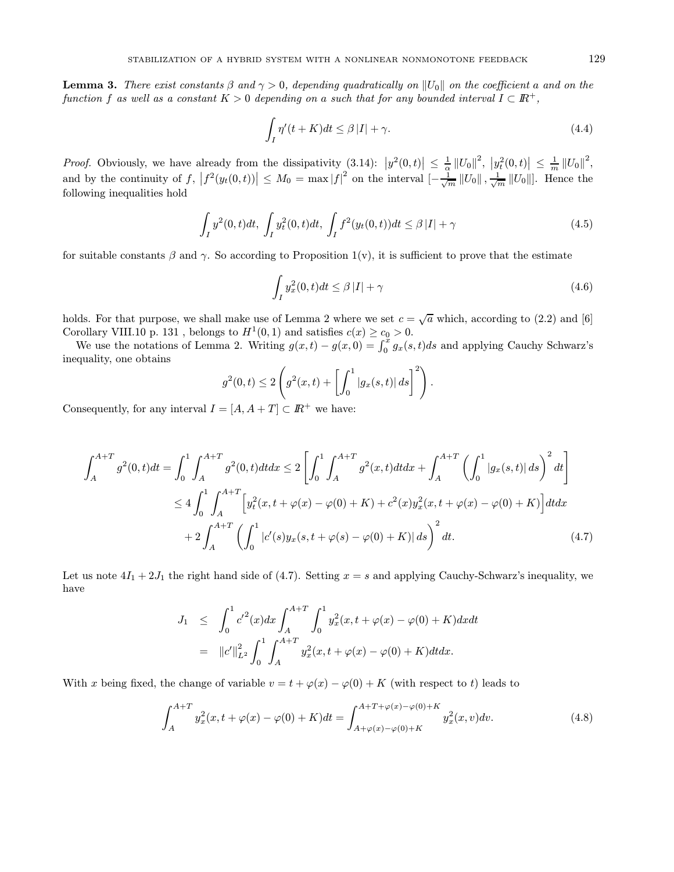**Lemma 3.** There exist constants  $\beta$  and  $\gamma > 0$ , depending quadratically on  $||U_0||$  on the coefficient a and on the function f as well as a constant  $K > 0$  depending on a such that for any bounded interval  $I \subset \mathbb{R}^+$ .

$$
\int_{I} \eta'(t+K)dt \leq \beta |I| + \gamma.
$$
\n(4.4)

*Proof.* Obviously, we have already from the dissipativity  $(3.14)$ :  $|y^2(0,t)| \n\t\leq \frac{1}{\alpha} ||U_0||^2$ ,  $|y_t^2(0,t)| \n\t\leq \frac{1}{m} ||U_0||^2$ , and by the continuity of  $f, |f^2(y_t(0,t))| \leq M_0 = \max |f|^2$  on the interval  $\left[-\frac{1}{\sqrt{m}}||U_0||, \frac{1}{\sqrt{m}}||U_0||\right]$ . Hence the following inequalities hold

$$
\int_{I} y^{2}(0,t)dt, \int_{I} y_{t}^{2}(0,t)dt, \int_{I} f^{2}(y_{t}(0,t))dt \leq \beta |I| + \gamma
$$
\n(4.5)

for suitable constants  $\beta$  and  $\gamma$ . So according to Proposition 1(v), it is sufficient to prove that the estimate

$$
\int_{I} y_x^2(0,t)dt \le \beta |I| + \gamma \tag{4.6}
$$

holds. For that purpose, we shall make use of Lemma 2 where we set  $c = \sqrt{a}$  which, according to (2.2) and [6] Corollary VIII.10 p. 131 , belongs to  $H^1(0,1)$  and satisfies  $c(x) \geq c_0 > 0.$ 

We use the notations of Lemma 2. Writing  $g(x,t) - g(x,0) = \int_0^x g_x(s,t)ds$  and applying Cauchy Schwarz's inequality, one obtains

$$
g^{2}(0,t) \leq 2\left(g^{2}(x,t) + \left[\int_{0}^{1} |g_{x}(s,t)| ds\right]^{2}\right).
$$

Consequently, for any interval  $I = [A, A + T] \subset \mathbb{R}^+$  we have:

$$
\int_{A}^{A+T} g^{2}(0,t)dt = \int_{0}^{1} \int_{A}^{A+T} g^{2}(0,t)dt dx \le 2 \left[ \int_{0}^{1} \int_{A}^{A+T} g^{2}(x,t)dt dx + \int_{A}^{A+T} \left( \int_{0}^{1} |g_{x}(s,t)| ds \right)^{2} dt \right]
$$
  

$$
\le 4 \int_{0}^{1} \int_{A}^{A+T} \left[ y_{t}^{2}(x,t+\varphi(x)-\varphi(0)+K) + c^{2}(x)y_{x}^{2}(x,t+\varphi(x)-\varphi(0)+K) \right] dt dx
$$
  

$$
+ 2 \int_{A}^{A+T} \left( \int_{0}^{1} |c'(s)y_{x}(s,t+\varphi(s)-\varphi(0)+K) | ds \right)^{2} dt.
$$
 (4.7)

Let us note  $4I_1 + 2J_1$  the right hand side of (4.7). Setting  $x = s$  and applying Cauchy-Schwarz's inequality, we have

$$
J_1 \leq \int_0^1 c'^2(x) dx \int_A^{A+T} \int_0^1 y_x^2(x, t + \varphi(x) - \varphi(0) + K) dx dt
$$
  
=  $||c'||_{L^2}^2 \int_0^1 \int_A^{A+T} y_x^2(x, t + \varphi(x) - \varphi(0) + K) dt dx.$ 

With x being fixed, the change of variable  $v = t + \varphi(x) - \varphi(0) + K$  (with respect to t) leads to

$$
\int_{A}^{A+T} y_x^2(x, t + \varphi(x) - \varphi(0) + K)dt = \int_{A+\varphi(x) - \varphi(0) + K}^{A+T+\varphi(x) - \varphi(0) + K} y_x^2(x, v)dv.
$$
\n(4.8)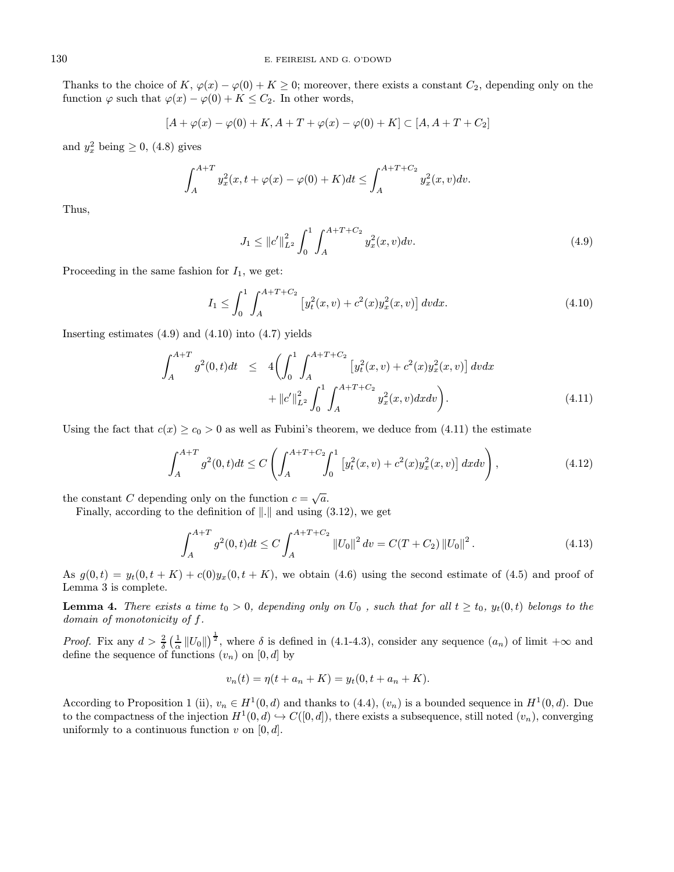Thanks to the choice of K,  $\varphi(x) - \varphi(0) + K \geq 0$ ; moreover, there exists a constant  $C_2$ , depending only on the function  $\varphi$  such that  $\varphi(x) - \varphi(0) + K \leq C_2$ . In other words,

$$
[A + \varphi(x) - \varphi(0) + K, A + T + \varphi(x) - \varphi(0) + K] \subset [A, A + T + C_2]
$$

and  $y_x^2$  being  $\geq 0$ , (4.8) gives

$$
\int_{A}^{A+T} y_x^2(x, t + \varphi(x) - \varphi(0) + K)dt \le \int_{A}^{A+T+C_2} y_x^2(x, v)dv.
$$

Thus,

$$
J_1 \le ||c'||_{L^2}^2 \int_0^1 \int_A^{A+T+C_2} y_x^2(x,v) dv.
$$
\n(4.9)

Proceeding in the same fashion for  $I_1$ , we get:

$$
I_1 \le \int_0^1 \int_A^{A+T+C_2} \left[ y_t^2(x,v) + c^2(x) y_x^2(x,v) \right] dv dx.
$$
 (4.10)

Inserting estimates  $(4.9)$  and  $(4.10)$  into  $(4.7)$  yields

$$
\int_{A}^{A+T} g^{2}(0,t)dt \leq 4 \left( \int_{0}^{1} \int_{A}^{A+T+C_{2}} \left[ y_{t}^{2}(x,v) + c^{2}(x) y_{x}^{2}(x,v) \right] dv dx + ||c'||_{L^{2}}^{2} \int_{0}^{1} \int_{A}^{A+T+C_{2}} y_{x}^{2}(x,v) dx dv \right).
$$
\n(4.11)

Using the fact that  $c(x) \ge c_0 > 0$  as well as Fubini's theorem, we deduce from (4.11) the estimate

$$
\int_{A}^{A+T} g^{2}(0,t)dt \le C \left( \int_{A}^{A+T+C_{2}} \int_{0}^{1} \left[ y_{t}^{2}(x,v) + c^{2}(x)y_{x}^{2}(x,v) \right] dx dv \right), \tag{4.12}
$$

the constant C depending only on the function  $c = \sqrt{a}$ .

Finally, according to the definition of  $\Vert . \Vert$  and using (3.12), we get

$$
\int_{A}^{A+T} g^{2}(0,t)dt \le C \int_{A}^{A+T+C_{2}} \|U_{0}\|^{2} dt = C(T+C_{2}) \|U_{0}\|^{2}.
$$
\n(4.13)

As  $g(0,t) = y_t(0,t+K) + c(0)y_x(0,t+K)$ , we obtain (4.6) using the second estimate of (4.5) and proof of Lemma 3 is complete.

**Lemma 4.** There exists a time  $t_0 > 0$ , depending only on  $U_0$ , such that for all  $t \geq t_0$ ,  $y_t(0, t)$  belongs to the domain of monotonicity of f.

*Proof.* Fix any  $d > \frac{2}{\delta} \left( \frac{1}{\alpha} ||U_0|| \right)^{\frac{1}{2}}$ , where  $\delta$  is defined in (4.1-4.3), consider any sequence  $(a_n)$  of limit  $+\infty$  and define the sequence of functions  $(v_n)$  on  $[0, d]$  by

$$
v_n(t) = \eta(t + a_n + K) = y_t(0, t + a_n + K).
$$

According to Proposition 1 (ii),  $v_n \in H^1(0, d)$  and thanks to (4.4),  $(v_n)$  is a bounded sequence in  $H^1(0, d)$ . Due to the compactness of the injection  $H^1(0, d) \hookrightarrow C([0, d])$ , there exists a subsequence, still noted  $(v_n)$ , converging uniformly to a continuous function  $v$  on  $[0, d]$ .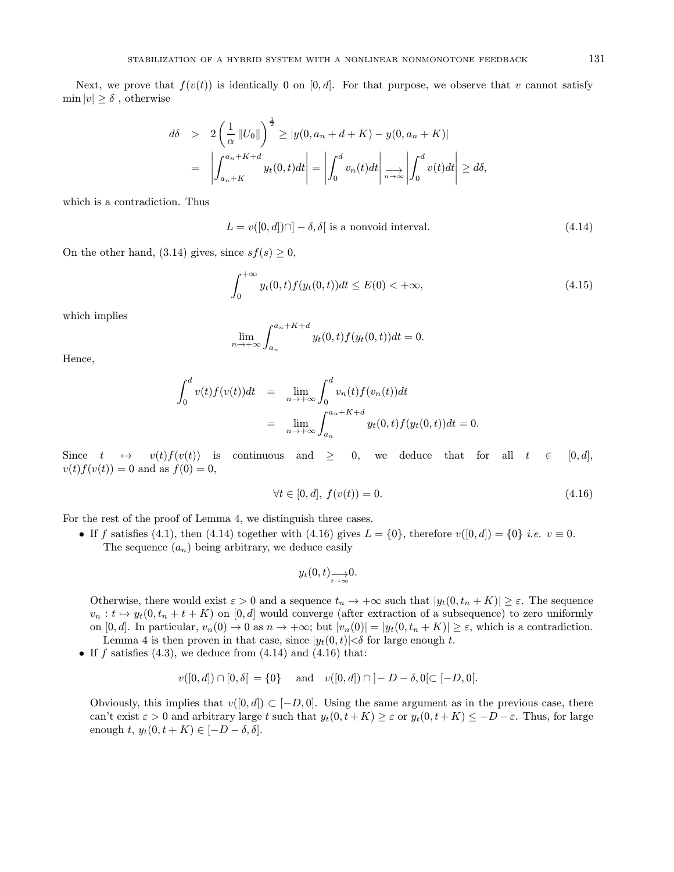Next, we prove that  $f(v(t))$  is identically 0 on [0, d]. For that purpose, we observe that v cannot satisfy  $\min |v| > \delta$ , otherwise

$$
d\delta > 2\left(\frac{1}{\alpha}||U_0||\right)^{\frac{1}{2}} \ge |y(0, a_n + d + K) - y(0, a_n + K)|
$$
  
= 
$$
\left|\int_{a_n + K}^{a_n + K + d} y_t(0, t)dt\right| = \left|\int_0^d v_n(t)dt\right| \xrightarrow[n \to \infty]{} \left|\int_0^d v(t)dt\right| \ge d\delta,
$$

which is a contradiction. Thus

$$
L = v([0, d]) \cap ] - \delta, \delta[
$$
 is a nonvoid interval. (4.14)

On the other hand, (3.14) gives, since  $sf(s) \geq 0$ ,

$$
\int_0^{+\infty} y_t(0,t)f(y_t(0,t))dt \le E(0) < +\infty,
$$
\n(4.15)

which implies

$$
\lim_{n \to +\infty} \int_{a_n}^{a_n + K + d} y_t(0, t) f(y_t(0, t)) dt = 0.
$$

Hence,

$$
\int_0^d v(t)f(v(t))dt = \lim_{n \to +\infty} \int_0^d v_n(t)f(v_n(t))dt
$$
  
= 
$$
\lim_{n \to +\infty} \int_{a_n}^{a_n + K + d} y_t(0, t)f(y_t(0, t))dt = 0.
$$

Since  $t \mapsto v(t)f(v(t))$  is continuous and  $\geq 0$ , we deduce that for all  $t \in [0,d],$  $v(t)f(v(t)) = 0$  and as  $f(0) = 0$ ,

$$
\forall t \in [0, d], \ f(v(t)) = 0. \tag{4.16}
$$

For the rest of the proof of Lemma 4, we distinguish three cases.

• If f satisfies (4.1), then (4.14) together with (4.16) gives  $L = \{0\}$ , therefore  $v([0, d]) = \{0\}$  *i.e.*  $v \equiv 0$ . The sequence  $(a_n)$  being arbitrary, we deduce easily

$$
y_t(0,t) \rightarrow 0.
$$

Otherwise, there would exist  $\varepsilon > 0$  and a sequence  $t_n \to +\infty$  such that  $|y_t(0, t_n + K)| \geq \varepsilon$ . The sequence  $v_n : t \mapsto y_t(0, t_n + t + K)$  on  $[0, d]$  would converge (after extraction of a subsequence) to zero uniformly on  $[0, d]$ . In particular,  $v_n(0) \to 0$  as  $n \to +\infty$ ; but  $|v_n(0)| = |y_t(0, t_n + K)| \geq \varepsilon$ , which is a contradiction. Lemma 4 is then proven in that case, since  $|y_t(0, t)| < \delta$  for large enough t.

• If f satisfies  $(4.3)$ , we deduce from  $(4.14)$  and  $(4.16)$  that:

$$
v([0, d]) \cap [0, \delta] = \{0\}
$$
 and  $v([0, d]) \cap ]-D-\delta, 0[ \subset [-D, 0[$ .

Obviously, this implies that  $v([0, d]) \subset [-D, 0]$ . Using the same argument as in the previous case, there can't exist  $\varepsilon > 0$  and arbitrary large t such that  $y_t(0, t + K) \geq \varepsilon$  or  $y_t(0, t + K) \leq -D - \varepsilon$ . Thus, for large enough  $t, y_t(0, t + K) \in [-D - \delta, \delta].$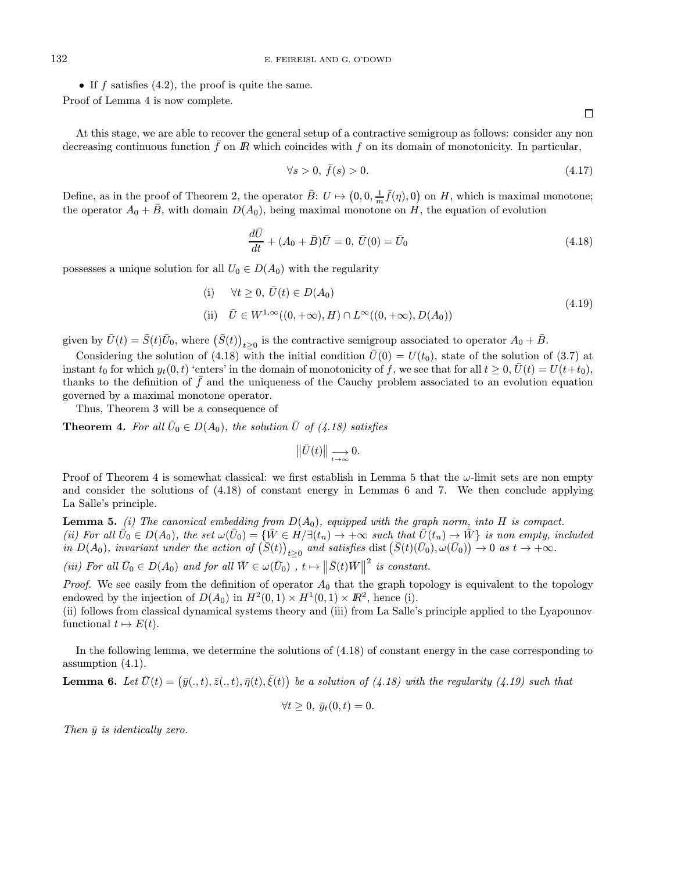• If  $f$  satisfies  $(4.2)$ , the proof is quite the same. Proof of Lemma 4 is now complete.

At this stage, we are able to recover the general setup of a contractive semigroup as follows: consider any non decreasing continuous function  $\bar{f}$  on  $\bar{R}$  which coincides with f on its domain of monotonicity. In particular,

$$
\forall s > 0, \ \bar{f}(s) > 0. \tag{4.17}
$$

Define, as in the proof of Theorem 2, the operator  $\bar{B}: U \mapsto (0, 0, \frac{1}{m}\bar{f}(\eta), 0)$  on H, which is maximal monotone; the operator  $A_0 + \overline{B}$ , with domain  $D(A_0)$ , being maximal monotone on H, the equation of evolution

$$
\frac{d\bar{U}}{dt} + (A_0 + \bar{B})\bar{U} = 0, \ \bar{U}(0) = \bar{U}_0
$$
\n(4.18)

possesses a unique solution for all  $U_0 \in D(A_0)$  with the regularity

(i) 
$$
\forall t \ge 0, \overline{U}(t) \in D(A_0)
$$
  
\n(ii)  $\overline{U} \in W^{1,\infty}((0,+\infty),H) \cap L^{\infty}((0,+\infty),D(A_0))$  (4.19)

given by  $\bar{U}(t) = \bar{S}(t)\bar{U}_0$ , where  $(\bar{S}(t))_{t \geq 0}$  is the contractive semigroup associated to operator  $A_0 + \bar{B}$ .

Considering the solution of (4.18) with the initial condition  $\bar{U}(0) = U(t_0)$ , state of the solution of (3.7) at instant  $t_0$  for which  $y_t(0, t)$  'enters' in the domain of monotonicity of f, we see that for all  $t \geq 0$ ,  $\bar{U}(t) = U(t+t_0)$ , thanks to the definition of  $\bar{f}$  and the uniqueness of the Cauchy problem associated to an evolution equation governed by a maximal monotone operator.

Thus, Theorem 3 will be a consequence of

**Theorem 4.** For all  $\bar{U}_0 \in D(A_0)$ , the solution  $\bar{U}$  of (4.18) satisfies

$$
\left\|\bar{U}(t)\right\| \underset{t\rightarrow\infty}{\longrightarrow} 0.
$$

Proof of Theorem 4 is somewhat classical: we first establish in Lemma 5 that the  $\omega$ -limit sets are non empty and consider the solutions of (4.18) of constant energy in Lemmas 6 and 7. We then conclude applying La Salle's principle.

**Lemma 5.** (i) The canonical embedding from  $D(A_0)$ , equipped with the graph norm, into H is compact. (ii) For all  $\overline{U}_0 \in D(A_0)$ , the set  $\omega(\overline{U}_0) = {\overline{W} \in H/\exists (t_n) \to +\infty}$  such that  $\overline{U}(t_n) \to \overline{W}$  is non empty, included in  $D(A_0)$ , invariant under the action of  $(\bar{S}(t))_{t\geq 0}$  and satisfies dist  $(\bar{S}(t)(\bar{U}_0), \omega(\bar{U}_0)) \to 0$  as  $t \to +\infty$ .

(iii) For all  $\bar{U}_0 \in D(A_0)$  and for all  $\bar{W} \in \omega(\bar{U}_0)$ ,  $t \mapsto ||\bar{S}(t)\bar{W}||^2$  is constant.

*Proof.* We see easily from the definition of operator  $A_0$  that the graph topology is equivalent to the topology endowed by the injection of  $D(A_0)$  in  $H^2(0,1) \times H^1(0,1) \times \mathbb{R}^2$ , hence (i).

(ii) follows from classical dynamical systems theory and (iii) from La Salle's principle applied to the Lyapounov functional  $t \mapsto E(t)$ .

In the following lemma, we determine the solutions of (4.18) of constant energy in the case corresponding to assumption (4.1).

**Lemma 6.** Let 
$$
\bar{U}(t) = (\bar{y}(., t), \bar{z}(., t), \bar{\eta}(t), \bar{\xi}(t))
$$
 be a solution of (4.18) with the regularity (4.19) such that

$$
\forall t \geq 0, \, \bar{y}_t(0, t) = 0.
$$

Then  $\bar{y}$  is identically zero.

 $\Box$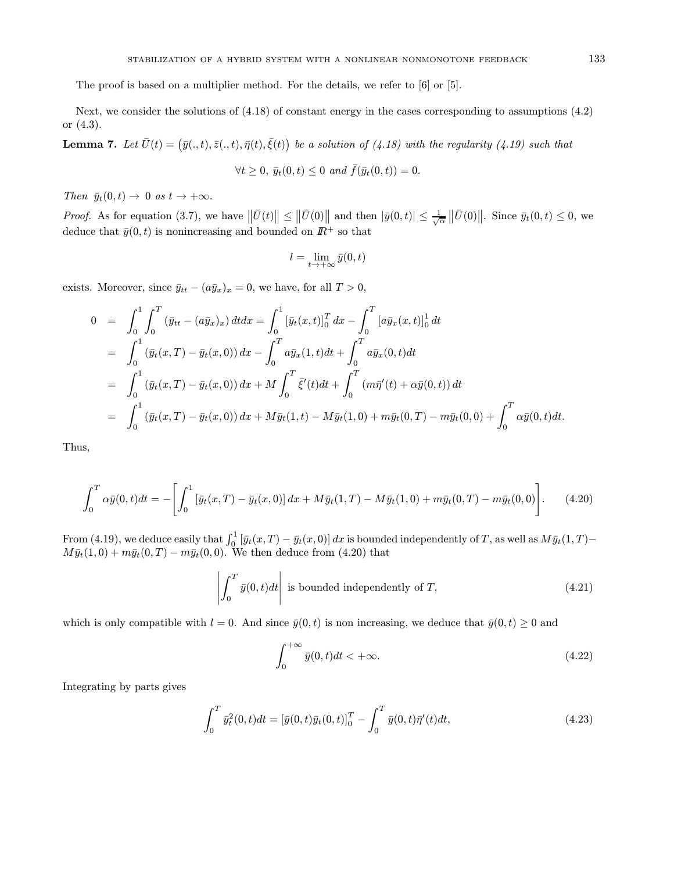The proof is based on a multiplier method. For the details, we refer to [6] or [5].

Next, we consider the solutions of (4.18) of constant energy in the cases corresponding to assumptions (4.2) or (4.3).

**Lemma 7.** Let  $\bar{U}(t) = (\bar{y}(., t), \bar{z}(., t), \bar{\eta}(t), \bar{\xi}(t))$  be a solution of (4.18) with the regularity (4.19) such that

$$
\forall t \geq 0, \, \bar{y}_t(0, t) \leq 0 \, \text{ and } \bar{f}(\bar{y}_t(0, t)) = 0.
$$

Then  $\bar{y}_t(0, t) \to 0$  as  $t \to +\infty$ .

*Proof.* As for equation (3.7), we have  $\|\bar{U}(t)\| \leq \|\bar{U}(0)\|$  and then  $|\bar{y}(0,t)| \leq \frac{1}{\sqrt{\alpha}}\|\bar{U}(0)\|$ . Since  $\bar{y}_t(0,t) \leq 0$ , we deduce that  $\bar{y}(0, t)$  is nonincreasing and bounded on  $I\!\!R^+$  so that

$$
l = \lim_{t \to +\infty} \bar{y}(0, t)
$$

exists. Moreover, since  $\bar{y}_{tt} - (a\bar{y}_x)_x = 0$ , we have, for all  $T > 0$ ,

$$
0 = \int_0^1 \int_0^T (\bar{y}_{tt} - (a\bar{y}_x)_x) dt dx = \int_0^1 [\bar{y}_t(x,t)]_0^T dx - \int_0^T [a\bar{y}_x(x,t)]_0^1 dt
$$
  
\n
$$
= \int_0^1 (\bar{y}_t(x,T) - \bar{y}_t(x,0)) dx - \int_0^T a\bar{y}_x(1,t)dt + \int_0^T a\bar{y}_x(0,t)dt
$$
  
\n
$$
= \int_0^1 (\bar{y}_t(x,T) - \bar{y}_t(x,0)) dx + M \int_0^T \bar{\xi}'(t)dt + \int_0^T (m\bar{\eta}'(t) + \alpha\bar{y}(0,t)) dt
$$
  
\n
$$
= \int_0^1 (\bar{y}_t(x,T) - \bar{y}_t(x,0)) dx + M\bar{y}_t(1,t) - M\bar{y}_t(1,0) + m\bar{y}_t(0,T) - m\bar{y}_t(0,0) + \int_0^T \alpha\bar{y}(0,t)dt.
$$

Thus,

$$
\int_0^T \alpha \bar{y}(0, t) dt = - \left[ \int_0^1 \left[ \bar{y}_t(x, T) - \bar{y}_t(x, 0) \right] dx + M \bar{y}_t(1, T) - M \bar{y}_t(1, 0) + m \bar{y}_t(0, T) - m \bar{y}_t(0, 0) \right].
$$
 (4.20)

From (4.19), we deduce easily that  $\int_0^1 [\bar{y}_t(x,T) - \bar{y}_t(x,0)] dx$  is bounded independently of T, as well as  $M\bar{y}_t(1,T)$  –  $M\bar{y}_t(1,0) + m\bar{y}_t(0,T) - m\bar{y}_t(0,0)$ . We then deduce from (4.20) that

$$
\left| \int_0^T \bar{y}(0, t) dt \right| \text{ is bounded independently of } T,
$$
\n(4.21)

which is only compatible with  $l = 0$ . And since  $\bar{y}(0, t)$  is non increasing, we deduce that  $\bar{y}(0, t) \geq 0$  and

$$
\int_0^{+\infty} \bar{y}(0, t)dt < +\infty.
$$
\n(4.22)

Integrating by parts gives

$$
\int_0^T \bar{y}_t^2(0,t)dt = \left[\bar{y}(0,t)\bar{y}_t(0,t)\right]_0^T - \int_0^T \bar{y}(0,t)\bar{\eta}'(t)dt,
$$
\n(4.23)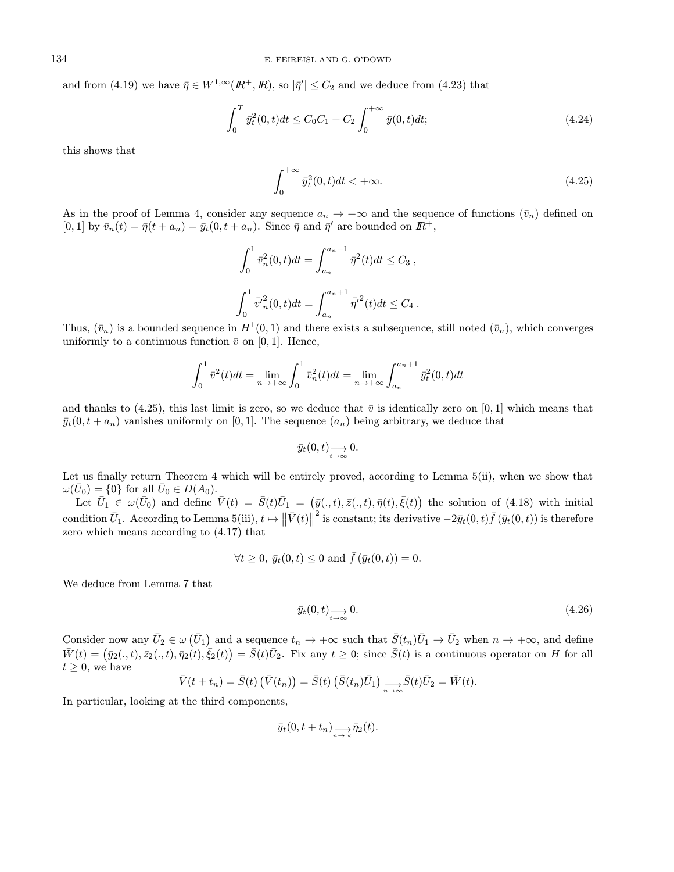and from (4.19) we have  $\bar{\eta} \in W^{1,\infty}(\mathbb{R}^+, \mathbb{R})$ , so  $|\bar{\eta}'| \leq C_2$  and we deduce from (4.23) that

$$
\int_0^T \bar{y}_t^2(0,t)dt \le C_0 C_1 + C_2 \int_0^{+\infty} \bar{y}(0,t)dt;\tag{4.24}
$$

this shows that

$$
\int_0^{+\infty} \bar{y}_t^2(0, t)dt < +\infty.
$$
\n(4.25)

As in the proof of Lemma 4, consider any sequence  $a_n \to +\infty$  and the sequence of functions  $(\bar{v}_n)$  defined on  $[0, 1]$  by  $\bar{v}_n(t) = \bar{\eta}(t + a_n) = \bar{y}_t(0, t + a_n)$ . Since  $\bar{\eta}$  and  $\bar{\eta}'$  are bounded on  $\mathbb{R}^+$ ,

$$
\int_0^1 \bar{v}_n^2(0, t)dt = \int_{a_n}^{a_n+1} \bar{\eta}^2(t)dt \le C_3,
$$
  

$$
\int_0^1 \bar{v}_n^2(0, t)dt = \int_{a_n}^{a_n+1} \bar{\eta}^2(t)dt \le C_4.
$$

Thus,  $(\bar{v}_n)$  is a bounded sequence in  $H^1(0,1)$  and there exists a subsequence, still noted  $(\bar{v}_n)$ , which converges uniformly to a continuous function  $\bar{v}$  on [0, 1]. Hence,

$$
\int_0^1 \bar{v}^2(t)dt = \lim_{n \to +\infty} \int_0^1 \bar{v}_n^2(t)dt = \lim_{n \to +\infty} \int_{a_n}^{a_n+1} \bar{y}_t^2(0,t)dt
$$

and thanks to (4.25), this last limit is zero, so we deduce that  $\bar{v}$  is identically zero on [0, 1] which means that  $\bar{y}_t(0, t + a_n)$  vanishes uniformly on [0,1]. The sequence  $(a_n)$  being arbitrary, we deduce that

$$
\bar{y}_t(0,t) \longrightarrow_{t \to \infty} 0.
$$

Let us finally return Theorem 4 which will be entirely proved, according to Lemma 5(ii), when we show that  $\omega(\bar{U}_0) = \{0\}$  for all  $\bar{U}_0 \in D(A_0)$ .

Let  $\bar{U}_1 \in \omega(\bar{U}_0)$  and define  $\bar{V}(t) = \bar{S}(t)\bar{U}_1 = (\bar{y}(.,t),\bar{z}(.,t),\bar{\eta}(t),\bar{\xi}(t))$  the solution of (4.18) with initial condition  $\bar{U}_1$ . According to Lemma 5(iii),  $t \mapsto ||\bar{V}(t)||^2$  is constant; its derivative  $-2\bar{y}_t(0,t)\bar{f}(\bar{y}_t(0,t))$  is therefore zero which means according to (4.17) that

$$
\forall t \ge 0, \ \bar{y}_t(0, t) \le 0 \ \text{and} \ \bar{f}(\bar{y}_t(0, t)) = 0.
$$

We deduce from Lemma 7 that

$$
\bar{y}_t(0,t) \longrightarrow_{t \to \infty} 0. \tag{4.26}
$$

Consider now any  $\bar{U}_2 \in \omega(\bar{U}_1)$  and a sequence  $t_n \to +\infty$  such that  $\bar{S}(t_n)\bar{U}_1 \to \bar{U}_2$  when  $n \to +\infty$ , and define  $\bar{W}(t) = (\bar{y}_2(.,t), \bar{z}_2(.,t), \bar{\eta}_2(t), \bar{\xi}_2(t)) = \bar{S}(t)\bar{U}_2$ . Fix any  $t \geq 0$ ; since  $\bar{S}(t)$  is a continuous operator on H for all  $t \geq 0$ , we have

$$
\bar{V}(t+t_n) = \bar{S}(t) (\bar{V}(t_n)) = \bar{S}(t) (\bar{S}(t_n)\bar{U}_1) \underset{n \to \infty}{\longrightarrow} \bar{S}(t)\bar{U}_2 = \bar{W}(t).
$$

In particular, looking at the third components,

$$
\bar{y}_t(0,t+t_n) \mathop{\longrightarrow}\limits_{n\to\infty} \bar{\eta}_2(t).
$$